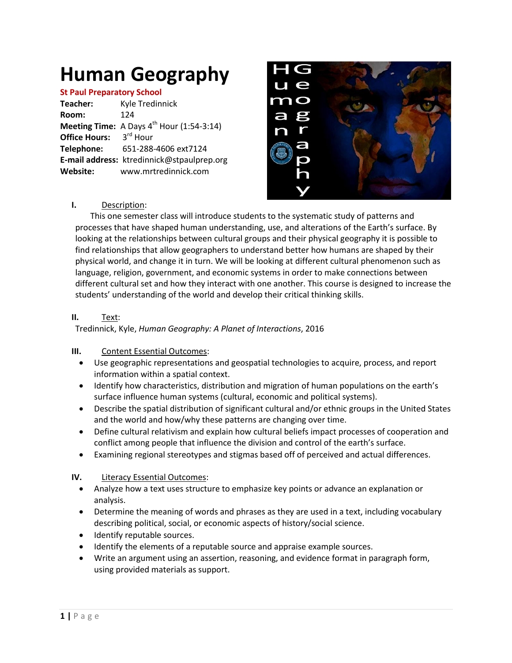# **Human Geography**

#### **St Paul Preparatory School**

| Teacher:               | Kyle Tredinnick                                       |
|------------------------|-------------------------------------------------------|
| Room:                  | 124                                                   |
|                        | <b>Meeting Time:</b> A Days $4^{th}$ Hour (1:54-3:14) |
| Office Hours: 3rd Hour |                                                       |
| Telephone:             | 651-288-4606 ext7124                                  |
|                        | E-mail address: ktredinnick@stpaulprep.org            |
| Website:               | www.mrtredinnick.com                                  |
|                        |                                                       |



## **I.** Description:

This one semester class will introduce students to the systematic study of patterns and processes that have shaped human understanding, use, and alterations of the Earth's surface. By looking at the relationships between cultural groups and their physical geography it is possible to find relationships that allow geographers to understand better how humans are shaped by their physical world, and change it in turn. We will be looking at different cultural phenomenon such as language, religion, government, and economic systems in order to make connections between different cultural set and how they interact with one another. This course is designed to increase the students' understanding of the world and develop their critical thinking skills.

## **II.** Text:

Tredinnick, Kyle, *Human Geography: A Planet of Interactions*, 2016

### **III.** Content Essential Outcomes:

- Use geographic representations and geospatial technologies to acquire, process, and report information within a spatial context.
- Identify how characteristics, distribution and migration of human populations on the earth's surface influence human systems (cultural, economic and political systems).
- Describe the spatial distribution of significant cultural and/or ethnic groups in the United States and the world and how/why these patterns are changing over time.
- Define cultural relativism and explain how cultural beliefs impact processes of cooperation and conflict among people that influence the division and control of the earth's surface.
- Examining regional stereotypes and stigmas based off of perceived and actual differences.

# **IV.** Literacy Essential Outcomes:

- Analyze how a text uses structure to emphasize key points or advance an explanation or analysis.
- Determine the meaning of words and phrases as they are used in a text, including vocabulary describing political, social, or economic aspects of history/social science.
- Identify reputable sources.
- Identify the elements of a reputable source and appraise example sources.
- Write an argument using an assertion, reasoning, and evidence format in paragraph form, using provided materials as support.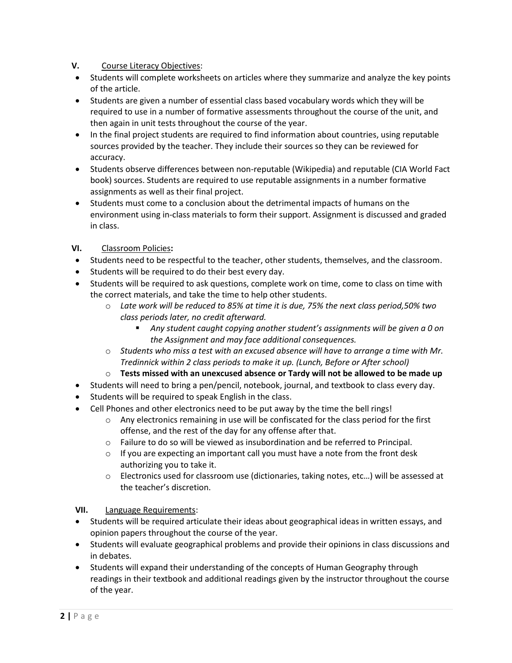# **V.** Course Literacy Objectives:

- Students will complete worksheets on articles where they summarize and analyze the key points of the article.
- Students are given a number of essential class based vocabulary words which they will be required to use in a number of formative assessments throughout the course of the unit, and then again in unit tests throughout the course of the year.
- In the final project students are required to find information about countries, using reputable sources provided by the teacher. They include their sources so they can be reviewed for accuracy.
- Students observe differences between non-reputable (Wikipedia) and reputable (CIA World Fact book) sources. Students are required to use reputable assignments in a number formative assignments as well as their final project.
- Students must come to a conclusion about the detrimental impacts of humans on the environment using in-class materials to form their support. Assignment is discussed and graded in class.

# **VI.** Classroom Policies**:**

- Students need to be respectful to the teacher, other students, themselves, and the classroom.
- Students will be required to do their best every day.
- Students will be required to ask questions, complete work on time, come to class on time with the correct materials, and take the time to help other students.
	- o *Late work will be reduced to 85% at time it is due, 75% the next class period,50% two class periods later, no credit afterward.*
		- *Any student caught copying another student's assignments will be given a 0 on the Assignment and may face additional consequences.*
	- o *Students who miss a test with an excused absence will have to arrange a time with Mr. Tredinnick within 2 class periods to make it up. (Lunch, Before or After school)*
	- o **Tests missed with an unexcused absence or Tardy will not be allowed to be made up**
- Students will need to bring a pen/pencil, notebook, journal, and textbook to class every day.
- Students will be required to speak English in the class.
- Cell Phones and other electronics need to be put away by the time the bell rings!
	- o Any electronics remaining in use will be confiscated for the class period for the first offense, and the rest of the day for any offense after that.
	- $\circ$  Failure to do so will be viewed as insubordination and be referred to Principal.
	- o If you are expecting an important call you must have a note from the front desk authorizing you to take it.
	- o Electronics used for classroom use (dictionaries, taking notes, etc…) will be assessed at the teacher's discretion.

# **VII.** Language Requirements:

- Students will be required articulate their ideas about geographical ideas in written essays, and opinion papers throughout the course of the year.
- Students will evaluate geographical problems and provide their opinions in class discussions and in debates.
- Students will expand their understanding of the concepts of Human Geography through readings in their textbook and additional readings given by the instructor throughout the course of the year.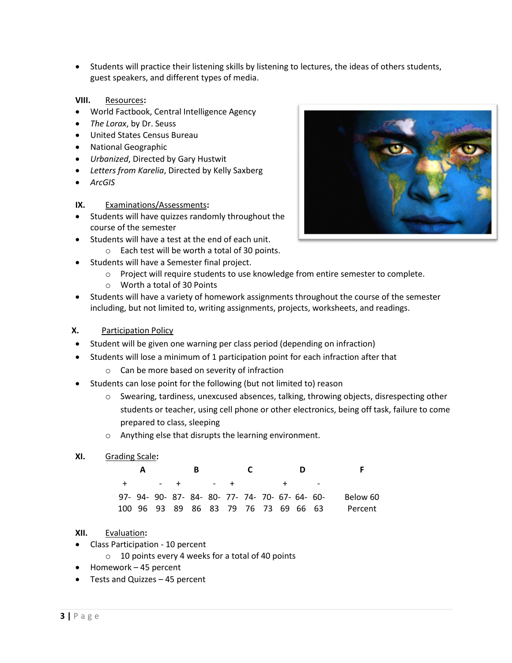Students will practice their listening skills by listening to lectures, the ideas of others students, guest speakers, and different types of media.

### **VIII.** Resources**:**

- World Factbook, Central Intelligence Agency
- *The Lorax*, by Dr. Seuss
- United States Census Bureau
- National Geographic
- *Urbanized*, Directed by Gary Hustwit
- *Letters from Karelia*, Directed by Kelly Saxberg
- *ArcGIS*

#### **IX.** Examinations/Assessments**:**

- Students will have quizzes randomly throughout the course of the semester
- Students will have a test at the end of each unit.
	- o Each test will be worth a total of 30 points.
- Students will have a Semester final project.
	- o Project will require students to use knowledge from entire semester to complete.
	- o Worth a total of 30 Points
- Students will have a variety of homework assignments throughout the course of the semester including, but not limited to, writing assignments, projects, worksheets, and readings.
- **X.** Participation Policy
- Student will be given one warning per class period (depending on infraction)
- Students will lose a minimum of 1 participation point for each infraction after that
	- o Can be more based on severity of infraction
- Students can lose point for the following (but not limited to) reason
	- o Swearing, tardiness, unexcused absences, talking, throwing objects, disrespecting other students or teacher, using cell phone or other electronics, being off task, failure to come prepared to class, sleeping
	- o Anything else that disrupts the learning environment.

## **XI.** Grading Scale**:**

| A |  | - B |                                                 | C. |  |                                      |          |
|---|--|-----|-------------------------------------------------|----|--|--------------------------------------|----------|
|   |  |     | + - + - + + -                                   |    |  |                                      |          |
|   |  |     | 97- 94- 90- 87- 84- 80- 77- 74- 70- 67- 64- 60- |    |  |                                      | Below 60 |
|   |  |     |                                                 |    |  | 100 96 93 89 86 83 79 76 73 69 66 63 | Percent  |

### **XII.** Evaluation**:**

- Class Participation 10 percent
	- o 10 points every 4 weeks for a total of 40 points
- Homework 45 percent
- Tests and Quizzes 45 percent